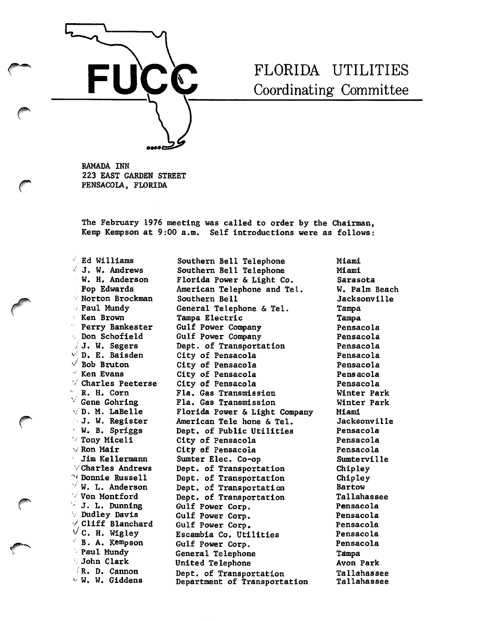

## FLORIDA UTILITIES Coordinating Committee

BAMADA INN 223 EAST GARDEN STREET PENSACOLA, FLORIDA

The February 1976 meeting was called to order by the Chairman, Kemp Kempson at 9:00 a.m. Self introductions were as follows:

 $\sqrt{E}$  Ed Williams ' J. W. Andrews W. H. Anderson Pop Edwards Norton Brockman / Paul Mundy Ken Brown Perry Bankester Don Schofield  $/J.$  W. Segers  $\vee$  D. E. Baisden  $\vee$  Bob Bruton ' Ken Evans  $\vee$  Charles Peeterse R. H. Corn  $\vee$  Gene Gohring  $\vee$ D. M. LaBelle J. W. Register - W. B. Spriggs  $\vee$  Tony Miceli V Ron Malr Jim Kellermann  $\vee$  Charles Andrews  $^{\sim i}$  Donnie Russell  $\sqrt{W}$ . L. Anderson ' Von Montford  $\sqrt{J}$ . L. Dunning Dudley Davis Cliff Blanchard V C. H. Wigley<br><sup>V</sup> B. A. Kempsou B. A. Kempson Paul Mundy John Clark >'R. D. Cannon  $\vee$  W. W. Giddens

Fla. Gas Transmission Fla. Gas Transmission Southern Bell Telephone Southern Bell Telephone Florida Power & Light Co. American Telephone and Tel. Southern Bell General Telephone & Tel. Tampa Electric Gulf Power Company Gulf Power Company Dept. of Transportation City of Pensacola City of Pensacola City of Pensacola City of Pensacola Florida Power & Light Company American Tele hone & Tel. Dept. of Public Utilities City of Pensacola City of Pensacola Sumter Elec. Co-op Dept. of Transportation Dept. of Transportation Dept. of Transportation Dept. of Transportation Gulf Power Corp. Gulf Power Corp. Gulf Power Corp. Escambla Co. Utilities Gulf Power Corp. General Telephone United Telephone Dept. of Transportation Department of Transportation

Miami Miami Sarasota W. Palm Beach Jacksonville Tampa Tampa Pensacola Pensacola Pensacola Pensacola Pensacola Pensacola Pensacola Winter Park Winter Park Miami Jacksonville Pensacola Pensacola Pensacola Sumterville Chipley Chipley Bartow Tallahassee Pensacola Pensacola Pensacola Pensacola Pensacola Tampa Avon Park Tallahassee Tallahassee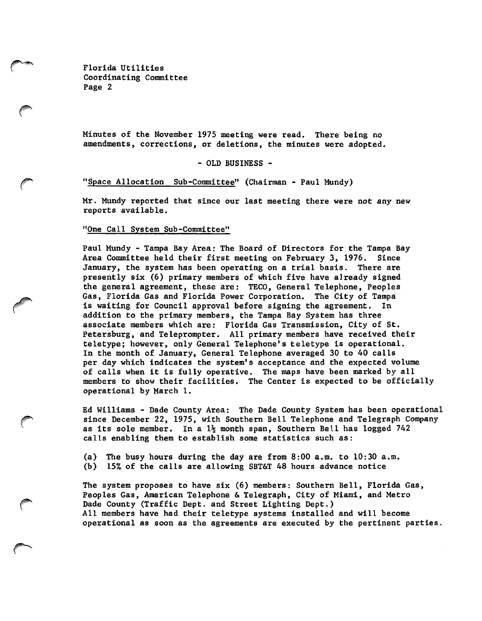Florida Utilities Coordinating Committee Page 2

Minutes of the November 1975 meeting were read. There being no amendments, corrections, or deletions, the minutes were adopted.

- OLD BUSINESS -

"Space Allocation Sub-Committee" (Chairman - Paul Mundy)

Mr. Mundy reported that since our last meeting there were not any new reports available.

"One Call System Sub-Committee"

Paul Mundy - Tampa Bay Area: The Board of Directors for the Tampa Bay Area Committee held their first meeting on February 3, 1976. Since January, the system has been operating on a trial basis. There are presently six (6) primary members of which five have already signed the general agreement, these are: TECO, General Telephone, Peoples Gas, Florida Gas and Florida Power Corporation. The City of Tampa is waiting for Council approval before signing the agreement. In addition to the primary members, the Tampa Bay System has three associate members which are: Florida Gas Transmission, City of St. Petersburg, and Teleprompter. All primary members have received their teletype; however, only General Telephone's teletype is operational. In the month of January, General Telephone averaged 30 to 40 calls per day which indicates the system's acceptance and the expected volume of calls when it is fully operative. The maps have been marked by all members to show their facilities. The Center is expected to be officially operational by March 1.

Ed Williams - Dade County Area: The Dade County System has been operational since December 22, 1975, with Southern Bell Telephone and Telegraph Company as its sole member. In a  $1\frac{1}{2}$  month span, Southern Bell has logged 742 calls enabling them to establish some statistics such as:

(a) The busy hours during the day are from 8:00 a.m. to 10:30 a.m. (b) 15% of the calls are allowing SBT&T 48 hours advance notice

The system proposes to have six (6) members: Southern Bell, Florida Gas, Peoples Gas, American Telephone & Telegraph, City of Miami, and Metro Dade County (Traffic Dept. and Street Lighting Dept.) All members have had their teletype systems installed and will become operational as soon as the agreements are executed by the pertinent parties.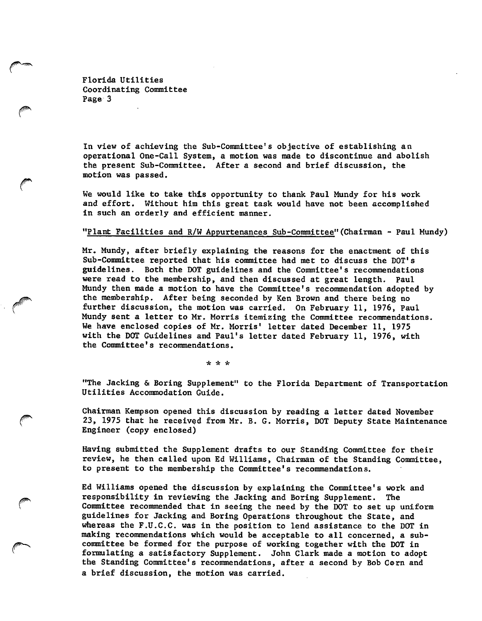Florida Utilities Coordinating Committee Page 3

In view of achieving the Sub-Committee's objective of establishing an operational One-Call System, a motion was made to discontinue and abolish the present Sub-Committee. After a second and brief discussion, the motion was passed.

We would like to take this opportunity to thank Paul Mundy for his work and effort. Without him this great task would have not been accomplished in such an orderly and efficient manner.

## "Plant Facilities and R/W Appurtenances Sub-Committee"(Chairman - Paul Mundy)

Mr. Mundy, after briefly explaining the reasons for the enactment of this Sub-Committee reported that his committee had met to discuss the DOT's guidelines. Both the DOT guidelines and the Committee's recommendations were read to the membership, and then discussed at great length. Paul Mundy then made a motion to have the Committee's recommendation adopted by the membership. After being seconded by Ken Brown and there being no further discussion, the motion was carried. On February 11, 1976, Paul Mundy sent a letter to Mr. Morris itemizing the Committee recommendations. We have enclosed copies of Mr. Morris' letter dated December 11, 1975 with the DOT Guidelines and Paul's letter dated February 11, 1976, with the Committee's recommendations.

\* iV \*

"The Jacking & Boring Supplement" to the Florida Department of Transportation Utilities Accommodation Guide.

Chairman Kempson opened this discussion by reading a letter dated November 23, 1975 that he received from Mr. B. G. Morris, DOT Deputy State Maintenance Engineer (copy enclosed)

Having submitted the Supplement drafts to our Standing Committee for their review, he then called upon Ed Williams, Chairman of the Standing Committee, to present to the membership the Committee's recommendations.

Ed Williams opened the discussion by explaining the Committee's work and responsibility in reviewing the Jacking and Boring Supplement. The Committee recommended that in seeing the need by the DOT to set up uniform guidelines for Jacking and Boring Operations throughout the State, and whereas the F.U.C.C. was in the position to lend assistance to the DOT in making recommendations which would be acceptable to all concerned, a sub committee be formed for the purpose of working together with the DOT in formulating a satisfactory Supplement. John Clark made a motion to adopt the Standing Committee's recommendations, after a second by Bob Corn and a brief discussion, the motion was carried.